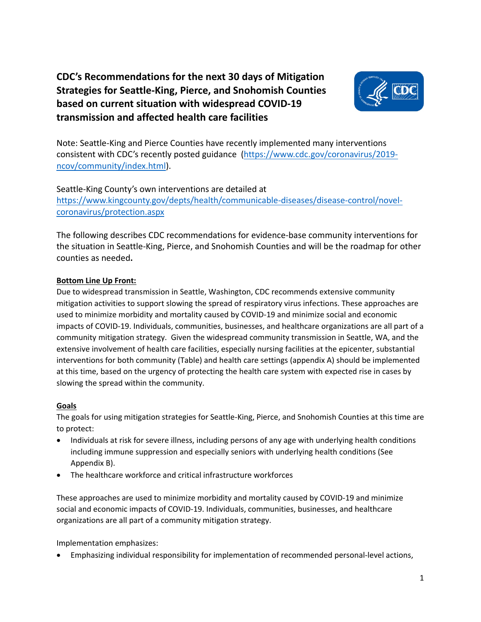# **CDC's Recommendations for the next 30 days of Mitigation Strategies for Seattle-King, Pierce, and Snohomish Counties based on current situation with widespread COVID-19 transmission and affected health care facilities**



Note: Seattle-King and Pierce Counties have recently implemented many interventions consistent with CDC's recently posted guidance [\(https://www.cdc.gov/coronavirus/2019](https://www.cdc.gov/coronavirus/2019-ncov/community/index.html) [ncov/community/index.html\)](https://www.cdc.gov/coronavirus/2019-ncov/community/index.html).

Seattle-King County's own interventions are detailed at [https://www.kingcounty.gov/depts/health/communicable-diseases/disease-control/novel](https://www.kingcounty.gov/depts/health/communicable-diseases/disease-control/novel-coronavirus/protection.aspx)[coronavirus/protection.aspx](https://www.kingcounty.gov/depts/health/communicable-diseases/disease-control/novel-coronavirus/protection.aspx)

The following describes CDC recommendations for evidence-base community interventions for the situation in Seattle-King, Pierce, and Snohomish Counties and will be the roadmap for other counties as needed**.** 

# **Bottom Line Up Front:**

Due to widespread transmission in Seattle, Washington, CDC recommends extensive community mitigation activities to support slowing the spread of respiratory virus infections. These approaches are used to minimize morbidity and mortality caused by COVID-19 and minimize social and economic impacts of COVID-19. Individuals, communities, businesses, and healthcare organizations are all part of a community mitigation strategy. Given the widespread community transmission in Seattle, WA, and the extensive involvement of health care facilities, especially nursing facilities at the epicenter, substantial interventions for both community (Table) and health care settings (appendix A) should be implemented at this time, based on the urgency of protecting the health care system with expected rise in cases by slowing the spread within the community.

## **Goals**

The goals for using mitigation strategies for Seattle-King, Pierce, and Snohomish Counties at this time are to protect:

- Individuals at risk for severe illness, including persons of any age with underlying health conditions including immune suppression and especially seniors with underlying health conditions (See Appendix B).
- The healthcare workforce and critical infrastructure workforces

These approaches are used to minimize morbidity and mortality caused by COVID-19 and minimize social and economic impacts of COVID-19. Individuals, communities, businesses, and healthcare organizations are all part of a community mitigation strategy.

Implementation emphasizes:

• Emphasizing individual responsibility for implementation of recommended personal-level actions,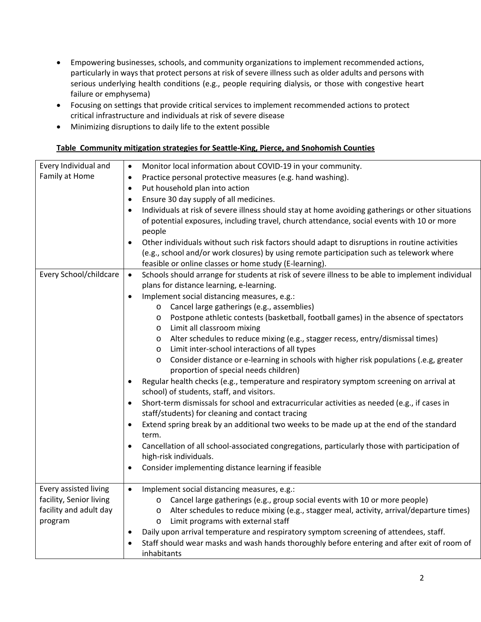- Empowering businesses, schools, and community organizations to implement recommended actions, particularly in ways that protect persons at risk of severe illness such as older adults and persons with serious underlying health conditions (e.g., people requiring dialysis, or those with congestive heart failure or emphysema)
- Focusing on settings that provide critical services to implement recommended actions to protect critical infrastructure and individuals at risk of severe disease
- Minimizing disruptions to daily life to the extent possible

#### **Table Community mitigation strategies for Seattle-King, Pierce, and Snohomish Counties**

| Every Individual and    | Monitor local information about COVID-19 in your community.<br>$\bullet$                                                                                                                                               |
|-------------------------|------------------------------------------------------------------------------------------------------------------------------------------------------------------------------------------------------------------------|
| Family at Home          | Practice personal protective measures (e.g. hand washing).<br>$\bullet$                                                                                                                                                |
|                         | Put household plan into action<br>$\bullet$                                                                                                                                                                            |
|                         | Ensure 30 day supply of all medicines.<br>$\bullet$                                                                                                                                                                    |
|                         | Individuals at risk of severe illness should stay at home avoiding gatherings or other situations<br>$\bullet$<br>of potential exposures, including travel, church attendance, social events with 10 or more<br>people |
|                         | Other individuals without such risk factors should adapt to disruptions in routine activities<br>$\bullet$                                                                                                             |
|                         | (e.g., school and/or work closures) by using remote participation such as telework where                                                                                                                               |
|                         | feasible or online classes or home study (E-learning).                                                                                                                                                                 |
| Every School/childcare  | Schools should arrange for students at risk of severe illness to be able to implement individual<br>$\bullet$                                                                                                          |
|                         | plans for distance learning, e-learning.                                                                                                                                                                               |
|                         | Implement social distancing measures, e.g.:<br>$\bullet$                                                                                                                                                               |
|                         | Cancel large gatherings (e.g., assemblies)<br>$\circ$                                                                                                                                                                  |
|                         | Postpone athletic contests (basketball, football games) in the absence of spectators<br>$\circ$                                                                                                                        |
|                         | Limit all classroom mixing<br>$\circ$                                                                                                                                                                                  |
|                         | Alter schedules to reduce mixing (e.g., stagger recess, entry/dismissal times)<br>$\circ$                                                                                                                              |
|                         | Limit inter-school interactions of all types<br>$\circ$                                                                                                                                                                |
|                         | Consider distance or e-learning in schools with higher risk populations (.e.g, greater<br>$\circ$<br>proportion of special needs children)                                                                             |
|                         | Regular health checks (e.g., temperature and respiratory symptom screening on arrival at<br>$\bullet$                                                                                                                  |
|                         | school) of students, staff, and visitors.                                                                                                                                                                              |
|                         | Short-term dismissals for school and extracurricular activities as needed (e.g., if cases in<br>$\bullet$<br>staff/students) for cleaning and contact tracing                                                          |
|                         | Extend spring break by an additional two weeks to be made up at the end of the standard<br>$\bullet$                                                                                                                   |
|                         | term.                                                                                                                                                                                                                  |
|                         | Cancellation of all school-associated congregations, particularly those with participation of<br>$\bullet$                                                                                                             |
|                         | high-risk individuals.                                                                                                                                                                                                 |
|                         | Consider implementing distance learning if feasible<br>$\bullet$                                                                                                                                                       |
|                         |                                                                                                                                                                                                                        |
| Every assisted living   | Implement social distancing measures, e.g.:<br>$\bullet$                                                                                                                                                               |
| facility, Senior living | o Cancel large gatherings (e.g., group social events with 10 or more people)                                                                                                                                           |
| facility and adult day  | Alter schedules to reduce mixing (e.g., stagger meal, activity, arrival/departure times)<br>$\circ$                                                                                                                    |
| program                 | Limit programs with external staff<br>$\circ$                                                                                                                                                                          |
|                         | Daily upon arrival temperature and respiratory symptom screening of attendees, staff.<br>$\bullet$                                                                                                                     |
|                         | Staff should wear masks and wash hands thoroughly before entering and after exit of room of<br>$\bullet$                                                                                                               |
|                         | inhabitants                                                                                                                                                                                                            |
|                         |                                                                                                                                                                                                                        |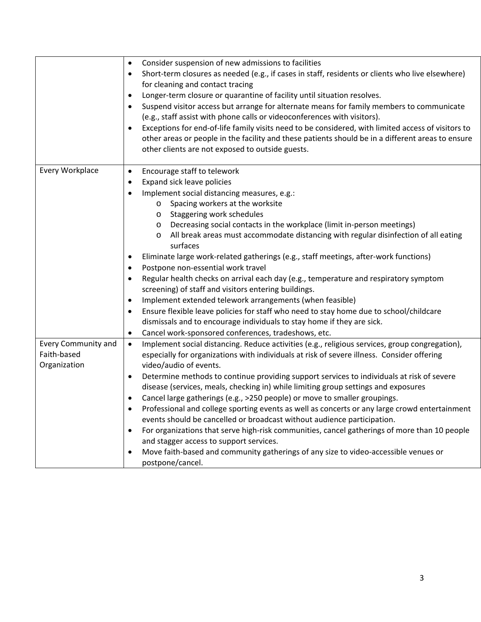|                     | Consider suspension of new admissions to facilities<br>$\bullet$<br>Short-term closures as needed (e.g., if cases in staff, residents or clients who live elsewhere)<br>$\bullet$<br>for cleaning and contact tracing<br>Longer-term closure or quarantine of facility until situation resolves.<br>$\bullet$<br>Suspend visitor access but arrange for alternate means for family members to communicate<br>$\bullet$<br>(e.g., staff assist with phone calls or videoconferences with visitors).<br>Exceptions for end-of-life family visits need to be considered, with limited access of visitors to<br>$\bullet$<br>other areas or people in the facility and these patients should be in a different areas to ensure<br>other clients are not exposed to outside guests. |
|---------------------|--------------------------------------------------------------------------------------------------------------------------------------------------------------------------------------------------------------------------------------------------------------------------------------------------------------------------------------------------------------------------------------------------------------------------------------------------------------------------------------------------------------------------------------------------------------------------------------------------------------------------------------------------------------------------------------------------------------------------------------------------------------------------------|
| Every Workplace     |                                                                                                                                                                                                                                                                                                                                                                                                                                                                                                                                                                                                                                                                                                                                                                                |
|                     | Encourage staff to telework<br>$\bullet$                                                                                                                                                                                                                                                                                                                                                                                                                                                                                                                                                                                                                                                                                                                                       |
|                     | Expand sick leave policies<br>$\bullet$                                                                                                                                                                                                                                                                                                                                                                                                                                                                                                                                                                                                                                                                                                                                        |
|                     | Implement social distancing measures, e.g.:<br>$\bullet$                                                                                                                                                                                                                                                                                                                                                                                                                                                                                                                                                                                                                                                                                                                       |
|                     | Spacing workers at the worksite<br>$\circ$                                                                                                                                                                                                                                                                                                                                                                                                                                                                                                                                                                                                                                                                                                                                     |
|                     | Staggering work schedules<br>$\circ$                                                                                                                                                                                                                                                                                                                                                                                                                                                                                                                                                                                                                                                                                                                                           |
|                     | Decreasing social contacts in the workplace (limit in-person meetings)<br>$\circ$                                                                                                                                                                                                                                                                                                                                                                                                                                                                                                                                                                                                                                                                                              |
|                     | All break areas must accommodate distancing with regular disinfection of all eating<br>O                                                                                                                                                                                                                                                                                                                                                                                                                                                                                                                                                                                                                                                                                       |
|                     | surfaces                                                                                                                                                                                                                                                                                                                                                                                                                                                                                                                                                                                                                                                                                                                                                                       |
|                     | Eliminate large work-related gatherings (e.g., staff meetings, after-work functions)<br>$\bullet$                                                                                                                                                                                                                                                                                                                                                                                                                                                                                                                                                                                                                                                                              |
|                     | Postpone non-essential work travel<br>$\bullet$                                                                                                                                                                                                                                                                                                                                                                                                                                                                                                                                                                                                                                                                                                                                |
|                     | Regular health checks on arrival each day (e.g., temperature and respiratory symptom<br>$\bullet$                                                                                                                                                                                                                                                                                                                                                                                                                                                                                                                                                                                                                                                                              |
|                     | screening) of staff and visitors entering buildings.                                                                                                                                                                                                                                                                                                                                                                                                                                                                                                                                                                                                                                                                                                                           |
|                     | Implement extended telework arrangements (when feasible)<br>$\bullet$                                                                                                                                                                                                                                                                                                                                                                                                                                                                                                                                                                                                                                                                                                          |
|                     | Ensure flexible leave policies for staff who need to stay home due to school/childcare<br>$\bullet$                                                                                                                                                                                                                                                                                                                                                                                                                                                                                                                                                                                                                                                                            |
|                     | dismissals and to encourage individuals to stay home if they are sick.                                                                                                                                                                                                                                                                                                                                                                                                                                                                                                                                                                                                                                                                                                         |
|                     | Cancel work-sponsored conferences, tradeshows, etc.<br>$\bullet$                                                                                                                                                                                                                                                                                                                                                                                                                                                                                                                                                                                                                                                                                                               |
| Every Community and | Implement social distancing. Reduce activities (e.g., religious services, group congregation),<br>$\bullet$                                                                                                                                                                                                                                                                                                                                                                                                                                                                                                                                                                                                                                                                    |
| Faith-based         | especially for organizations with individuals at risk of severe illness. Consider offering                                                                                                                                                                                                                                                                                                                                                                                                                                                                                                                                                                                                                                                                                     |
| Organization        | video/audio of events.                                                                                                                                                                                                                                                                                                                                                                                                                                                                                                                                                                                                                                                                                                                                                         |
|                     |                                                                                                                                                                                                                                                                                                                                                                                                                                                                                                                                                                                                                                                                                                                                                                                |
|                     | Determine methods to continue providing support services to individuals at risk of severe<br>$\bullet$                                                                                                                                                                                                                                                                                                                                                                                                                                                                                                                                                                                                                                                                         |
|                     | disease (services, meals, checking in) while limiting group settings and exposures                                                                                                                                                                                                                                                                                                                                                                                                                                                                                                                                                                                                                                                                                             |
|                     | Cancel large gatherings (e.g., >250 people) or move to smaller groupings.                                                                                                                                                                                                                                                                                                                                                                                                                                                                                                                                                                                                                                                                                                      |
|                     | Professional and college sporting events as well as concerts or any large crowd entertainment                                                                                                                                                                                                                                                                                                                                                                                                                                                                                                                                                                                                                                                                                  |
|                     | events should be cancelled or broadcast without audience participation.                                                                                                                                                                                                                                                                                                                                                                                                                                                                                                                                                                                                                                                                                                        |
|                     | For organizations that serve high-risk communities, cancel gatherings of more than 10 people                                                                                                                                                                                                                                                                                                                                                                                                                                                                                                                                                                                                                                                                                   |
|                     | and stagger access to support services.                                                                                                                                                                                                                                                                                                                                                                                                                                                                                                                                                                                                                                                                                                                                        |
|                     | Move faith-based and community gatherings of any size to video-accessible venues or<br>$\bullet$                                                                                                                                                                                                                                                                                                                                                                                                                                                                                                                                                                                                                                                                               |
|                     | postpone/cancel.                                                                                                                                                                                                                                                                                                                                                                                                                                                                                                                                                                                                                                                                                                                                                               |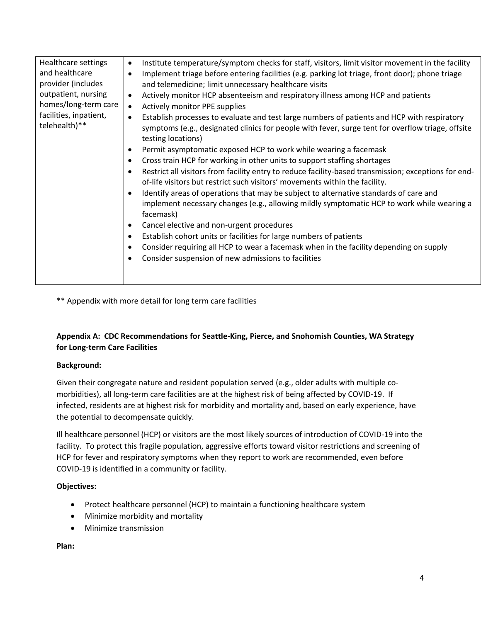| Healthcare settings<br>and healthcare<br>provider (includes<br>outpatient, nursing<br>homes/long-term care<br>facilities, inpatient,<br>telehealth)** | Institute temperature/symptom checks for staff, visitors, limit visitor movement in the facility<br>٠<br>Implement triage before entering facilities (e.g. parking lot triage, front door); phone triage<br>$\bullet$<br>and telemedicine; limit unnecessary healthcare visits<br>Actively monitor HCP absenteeism and respiratory illness among HCP and patients<br>$\bullet$<br>Actively monitor PPE supplies<br>$\bullet$<br>Establish processes to evaluate and test large numbers of patients and HCP with respiratory<br>$\bullet$<br>symptoms (e.g., designated clinics for people with fever, surge tent for overflow triage, offsite<br>testing locations)<br>Permit asymptomatic exposed HCP to work while wearing a facemask<br>$\bullet$<br>Cross train HCP for working in other units to support staffing shortages<br>$\bullet$<br>Restrict all visitors from facility entry to reduce facility-based transmission; exceptions for end-<br>$\bullet$<br>of-life visitors but restrict such visitors' movements within the facility.<br>Identify areas of operations that may be subject to alternative standards of care and<br>implement necessary changes (e.g., allowing mildly symptomatic HCP to work while wearing a<br>facemask)<br>Cancel elective and non-urgent procedures<br>$\bullet$<br>Establish cohort units or facilities for large numbers of patients<br>$\bullet$<br>Consider requiring all HCP to wear a facemask when in the facility depending on supply<br>$\bullet$<br>Consider suspension of new admissions to facilities |
|-------------------------------------------------------------------------------------------------------------------------------------------------------|------------------------------------------------------------------------------------------------------------------------------------------------------------------------------------------------------------------------------------------------------------------------------------------------------------------------------------------------------------------------------------------------------------------------------------------------------------------------------------------------------------------------------------------------------------------------------------------------------------------------------------------------------------------------------------------------------------------------------------------------------------------------------------------------------------------------------------------------------------------------------------------------------------------------------------------------------------------------------------------------------------------------------------------------------------------------------------------------------------------------------------------------------------------------------------------------------------------------------------------------------------------------------------------------------------------------------------------------------------------------------------------------------------------------------------------------------------------------------------------------------------------------------------------------------------------|

\*\* Appendix with more detail for long term care facilities

# **Appendix A: CDC Recommendations for Seattle-King, Pierce, and Snohomish Counties, WA Strategy for Long-term Care Facilities**

## **Background:**

Given their congregate nature and resident population served (e.g., older adults with multiple comorbidities), all long-term care facilities are at the highest risk of being affected by COVID-19. If infected, residents are at highest risk for morbidity and mortality and, based on early experience, have the potential to decompensate quickly.

Ill healthcare personnel (HCP) or visitors are the most likely sources of introduction of COVID-19 into the facility. To protect this fragile population, aggressive efforts toward visitor restrictions and screening of HCP for fever and respiratory symptoms when they report to work are recommended, even before COVID-19 is identified in a community or facility.

## **Objectives:**

- Protect healthcare personnel (HCP) to maintain a functioning healthcare system
- Minimize morbidity and mortality
- Minimize transmission

**Plan:**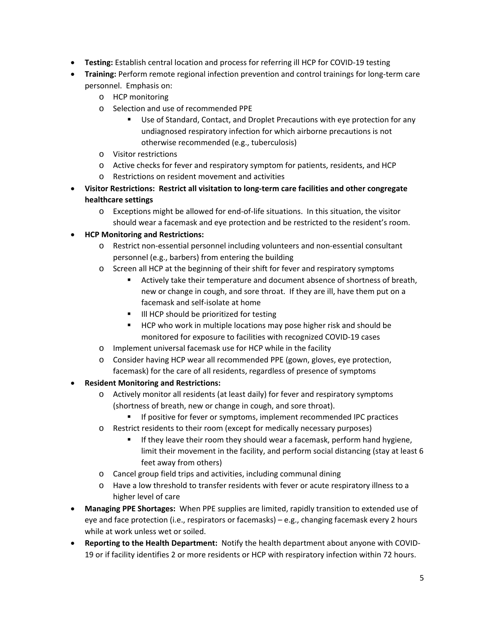- **Testing:** Establish central location and process for referring ill HCP for COVID-19 testing
- **Training:** Perform remote regional infection prevention and control trainings for long-term care personnel. Emphasis on:
	- o HCP monitoring
	- o Selection and use of recommended PPE
		- Use of Standard, Contact, and Droplet Precautions with eye protection for any undiagnosed respiratory infection for which airborne precautions is not otherwise recommended (e.g., tuberculosis)
	- o Visitor restrictions
	- o Active checks for fever and respiratory symptom for patients, residents, and HCP
	- o Restrictions on resident movement and activities
- **Visitor Restrictions: Restrict all visitation to long-term care facilities and other congregate healthcare settings**
	- o Exceptions might be allowed for end-of-life situations. In this situation, the visitor should wear a facemask and eye protection and be restricted to the resident's room.
- **HCP Monitoring and Restrictions:**
	- o Restrict non-essential personnel including volunteers and non-essential consultant personnel (e.g., barbers) from entering the building
	- o Screen all HCP at the beginning of their shift for fever and respiratory symptoms
		- Actively take their temperature and document absence of shortness of breath, new or change in cough, and sore throat. If they are ill, have them put on a facemask and self-isolate at home
		- III HCP should be prioritized for testing
		- **HCP** who work in multiple locations may pose higher risk and should be monitored for exposure to facilities with recognized COVID-19 cases
	- o Implement universal facemask use for HCP while in the facility
	- o Consider having HCP wear all recommended PPE (gown, gloves, eye protection, facemask) for the care of all residents, regardless of presence of symptoms
- **Resident Monitoring and Restrictions:**
	- o Actively monitor all residents (at least daily) for fever and respiratory symptoms (shortness of breath, new or change in cough, and sore throat).
		- **If positive for fever or symptoms, implement recommended IPC practices**
	- o Restrict residents to their room (except for medically necessary purposes)
		- If they leave their room they should wear a facemask, perform hand hygiene, limit their movement in the facility, and perform social distancing (stay at least 6 feet away from others)
	- o Cancel group field trips and activities, including communal dining
	- o Have a low threshold to transfer residents with fever or acute respiratory illness to a higher level of care
- **Managing PPE Shortages:** When PPE supplies are limited, rapidly transition to extended use of eye and face protection (i.e., respirators or facemasks) – e.g., changing facemask every 2 hours while at work unless wet or soiled.
- **Reporting to the Health Department:** Notify the health department about anyone with COVID-19 or if facility identifies 2 or more residents or HCP with respiratory infection within 72 hours.